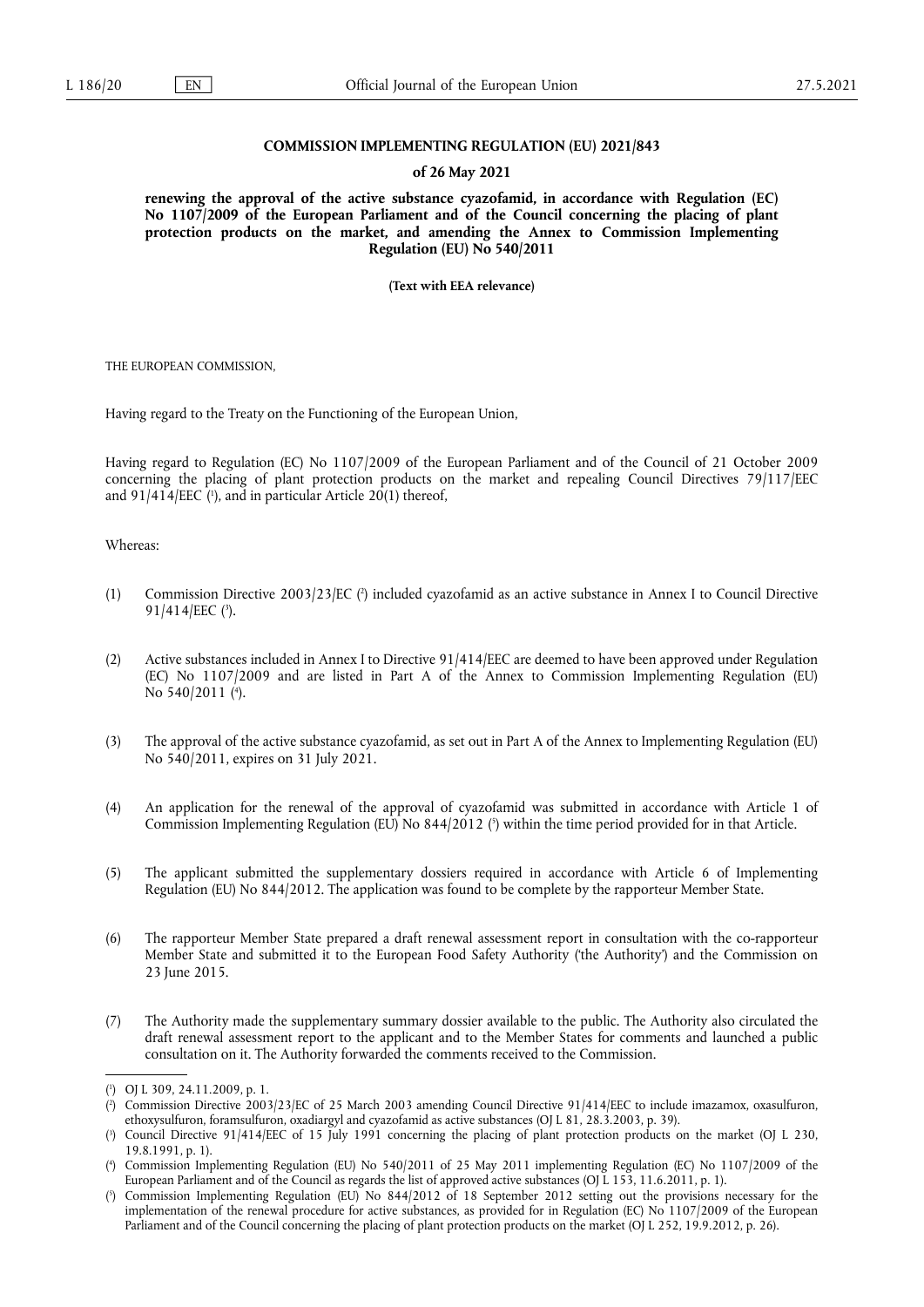#### **COMMISSION IMPLEMENTING REGULATION (EU) 2021/843**

#### **of 26 May 2021**

**renewing the approval of the active substance cyazofamid, in accordance with Regulation (EC) No 1107/2009 of the European Parliament and of the Council concerning the placing of plant protection products on the market, and amending the Annex to Commission Implementing Regulation (EU) No 540/2011** 

**(Text with EEA relevance)** 

THE EUROPEAN COMMISSION,

Having regard to the Treaty on the Functioning of the European Union,

<span id="page-0-5"></span>Having regard to Regulation (EC) No 1107/2009 of the European Parliament and of the Council of 21 October 2009 concerning the placing of plant protection products on the market and repealing Council Directives 79/117/EEC and 91/414/EEC ('[\),](#page-0-0) and in particular Article 20(1) thereof,

Whereas:

- <span id="page-0-7"></span><span id="page-0-6"></span>(1) Commission Directive 2003/23/EC [\(](#page-0-1) 2 ) included cyazofamid as an active substance in Annex I to Council Directive 91/414/EEC [\(](#page-0-2)3).
- <span id="page-0-8"></span>(2) Active substances included in Annex I to Directive 91/414/EEC are deemed to have been approved under Regulation (EC) No 1107/2009 and are listed in Part A of the Annex to Commission Implementing Regulation (EU) No 540/2011 [\(](#page-0-3) 4 ).
- (3) The approval of the active substance cyazofamid, as set out in Part A of the Annex to Implementing Regulation (EU) No 540/2011, expires on 31 July 2021.
- <span id="page-0-9"></span>(4) An application for the renewal of the approval of cyazofamid was submitted in accordance with Article 1 of Commission Implementing Regulation (EU) No 844/2012 [\(](#page-0-4) 5 ) within the time period provided for in that Article.
- (5) The applicant submitted the supplementary dossiers required in accordance with Article 6 of Implementing Regulation (EU) No 844/2012. The application was found to be complete by the rapporteur Member State.
- (6) The rapporteur Member State prepared a draft renewal assessment report in consultation with the co-rapporteur Member State and submitted it to the European Food Safety Authority ('the Authority') and the Commission on 23 June 2015.
- (7) The Authority made the supplementary summary dossier available to the public. The Authority also circulated the draft renewal assessment report to the applicant and to the Member States for comments and launched a public consultation on it. The Authority forwarded the comments received to the Commission.

<span id="page-0-0"></span>[<sup>\(</sup>](#page-0-5) 1 ) OJ L 309, 24.11.2009, p. 1.

<span id="page-0-1"></span><sup>(</sup> 2 [\)](#page-0-6) Commission Directive 2003/23/EC of 25 March 2003 amending Council Directive 91/414/EEC to include imazamox, oxasulfuron, ethoxysulfuron, foramsulfuron, oxadiargyl and cyazofamid as active substances (OJ L 81, 28.3.2003, p. 39).

<span id="page-0-2"></span>[<sup>\(</sup>](#page-0-7) 3 ) Council Directive 91/414/EEC of 15 July 1991 concerning the placing of plant protection products on the market (OJ L 230, 19.8.1991, p. 1).

<span id="page-0-3"></span>[<sup>\(</sup>](#page-0-8) 4 ) Commission Implementing Regulation (EU) No 540/2011 of 25 May 2011 implementing Regulation (EC) No 1107/2009 of the European Parliament and of the Council as regards the list of approved active substances (OJ L 153, 11.6.2011, p. 1).

<span id="page-0-4"></span>[<sup>\(</sup>](#page-0-9) 5 ) Commission Implementing Regulation (EU) No 844/2012 of 18 September 2012 setting out the provisions necessary for the implementation of the renewal procedure for active substances, as provided for in Regulation (EC) No 1107/2009 of the European Parliament and of the Council concerning the placing of plant protection products on the market (OJ L 252, 19.9.2012, p. 26).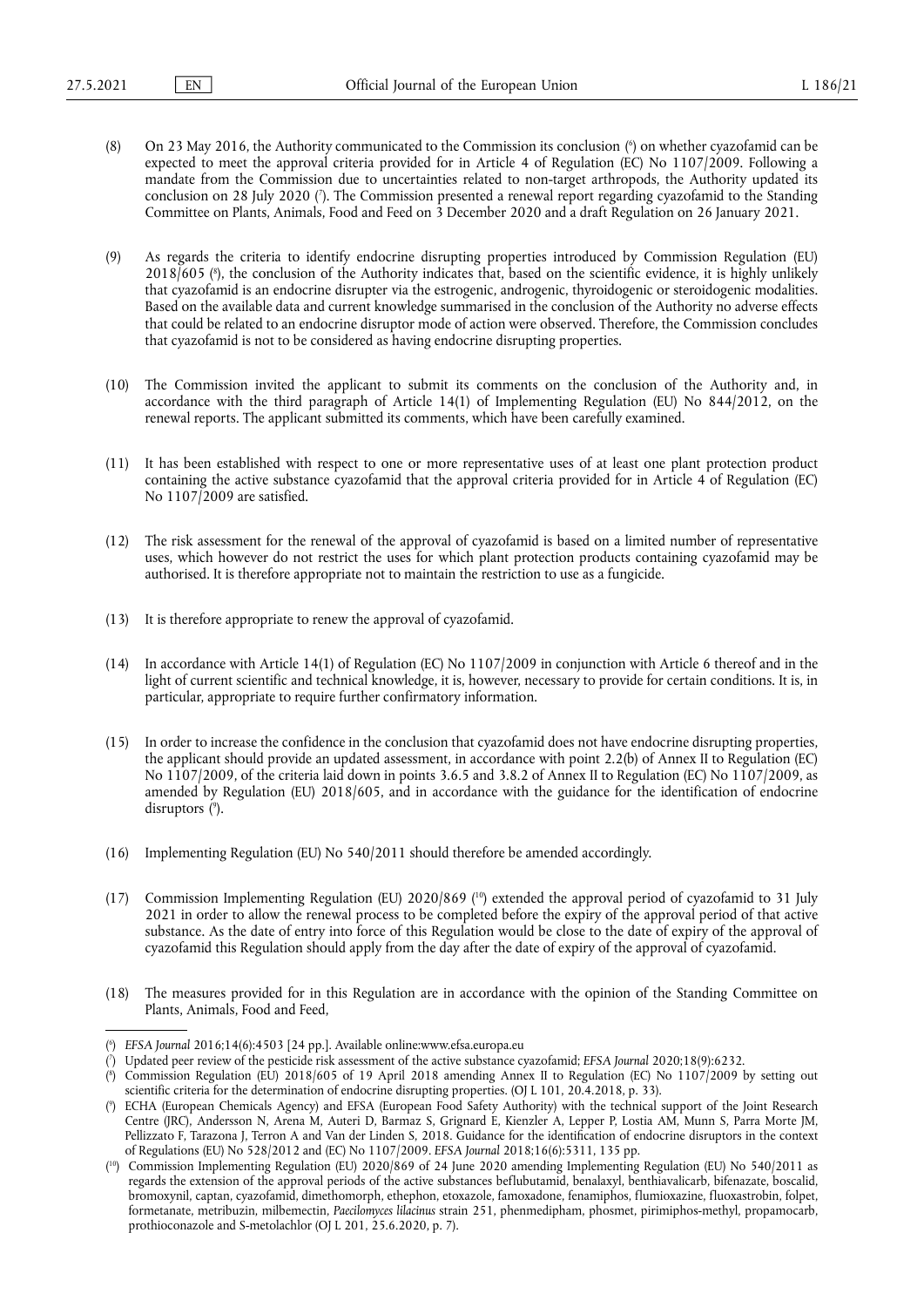- <span id="page-1-6"></span><span id="page-1-5"></span>(8) On 23 May 2016, the Authority communicated to the Commission its conclusion [\(](#page-1-0) 6 ) on whether cyazofamid can be expected to meet the approval criteria provided for in Article 4 of Regulation (EC) No 1107/2009. Following a mandate from the Commission due to uncertainties related to non-target arthropods, the Authority updated its conclusion on 28 July 2020 [\(](#page-1-1) 7 ). The Commission presented a renewal report regarding cyazofamid to the Standing Committee on Plants, Animals, Food and Feed on 3 December 2020 and a draft Regulation on 26 January 2021.
- <span id="page-1-7"></span>(9) As regards the criteria to identify endocrine disrupting properties introduced by Commission Regulation (EU) 2018/605 ( 8 [\),](#page-1-2) the conclusion of the Authority indicates that, based on the scientific evidence, it is highly unlikely that cyazofamid is an endocrine disrupter via the estrogenic, androgenic, thyroidogenic or steroidogenic modalities. Based on the available data and current knowledge summarised in the conclusion of the Authority no adverse effects that could be related to an endocrine disruptor mode of action were observed. Therefore, the Commission concludes that cyazofamid is not to be considered as having endocrine disrupting properties.
- (10) The Commission invited the applicant to submit its comments on the conclusion of the Authority and, in accordance with the third paragraph of Article 14(1) of Implementing Regulation (EU) No 844/2012, on the renewal reports. The applicant submitted its comments, which have been carefully examined.
- (11) It has been established with respect to one or more representative uses of at least one plant protection product containing the active substance cyazofamid that the approval criteria provided for in Article 4 of Regulation (EC) No 1107/2009 are satisfied.
- (12) The risk assessment for the renewal of the approval of cyazofamid is based on a limited number of representative uses, which however do not restrict the uses for which plant protection products containing cyazofamid may be authorised. It is therefore appropriate not to maintain the restriction to use as a fungicide.
- (13) It is therefore appropriate to renew the approval of cyazofamid.
- (14) In accordance with Article 14(1) of Regulation (EC) No 1107/2009 in conjunction with Article 6 thereof and in the light of current scientific and technical knowledge, it is, however, necessary to provide for certain conditions. It is, in particular, appropriate to require further confirmatory information.
- (15) In order to increase the confidence in the conclusion that cyazofamid does not have endocrine disrupting properties, the applicant should provide an updated assessment, in accordance with point 2.2(b) of Annex II to Regulation (EC) No 1107/2009, of the criteria laid down in points 3.6.5 and 3.8.2 of Annex II to Regulation (EC) No 1107/2009, as amended by Regulation (EU) 2018/605, and in accordance with the guidance for the identification of endocrine disruptors [\(](#page-1-3) 9 ).
- <span id="page-1-8"></span>(16) Implementing Regulation (EU) No 540/2011 should therefore be amended accordingly.
- <span id="page-1-9"></span>(17) Commission Implementing Regulation (EU) 2020/869 ( [10\)](#page-1-4) extended the approval period of cyazofamid to 31 July 2021 in order to allow the renewal process to be completed before the expiry of the approval period of that active substance. As the date of entry into force of this Regulation would be close to the date of expiry of the approval of cyazofamid this Regulation should apply from the day after the date of expiry of the approval of cyazofamid.
- (18) The measures provided for in this Regulation are in accordance with the opinion of the Standing Committee on Plants, Animals, Food and Feed,

<span id="page-1-0"></span>[<sup>\(</sup>](#page-1-5) 6 ) *EFSA Journal* 2016;14(6):4503 [24 pp.]. Available online[:www.efsa.europa.eu](www.efsa.europa.eu)

<span id="page-1-1"></span>[<sup>\(</sup>](#page-1-6) 7 ) Updated peer review of the pesticide risk assessment of the active substance cyazofamid; *EFSA Journal* 2020;18(9):6232.

<span id="page-1-2"></span>[<sup>\(</sup>](#page-1-7) 8 ) Commission Regulation (EU) 2018/605 of 19 April 2018 amending Annex II to Regulation (EC) No 1107/2009 by setting out scientific criteria for the determination of endocrine disrupting properties. (OJ L 101, 20.4.2018, p. 33).

<span id="page-1-3"></span><sup>(</sup> 9 [\)](#page-1-8) ECHA (European Chemicals Agency) and EFSA (European Food Safety Authority) with the technical support of the Joint Research Centre (JRC), Andersson N, Arena M, Auteri D, Barmaz S, Grignard E, Kienzler A, Lepper P, Lostia AM, Munn S, Parra Morte JM, Pellizzato F, Tarazona J, Terron A and Van der Linden S, 2018. Guidance for the identification of endocrine disruptors in the context of Regulations (EU) No 528/2012 and (EC) No 1107/2009. *EFSA Journal* 2018;16(6):5311, 135 pp.

<span id="page-1-4"></span><sup>(</sup> [10\)](#page-1-9) Commission Implementing Regulation (EU) 2020/869 of 24 June 2020 amending Implementing Regulation (EU) No 540/2011 as regards the extension of the approval periods of the active substances beflubutamid, benalaxyl, benthiavalicarb, bifenazate, boscalid, bromoxynil, captan, cyazofamid, dimethomorph, ethephon, etoxazole, famoxadone, fenamiphos, flumioxazine, fluoxastrobin, folpet, formetanate, metribuzin, milbemectin, *Paecilomyces lilacinus* strain 251, phenmedipham, phosmet, pirimiphos-methyl, propamocarb, prothioconazole and S-metolachlor (OJ L 201, 25.6.2020, p. 7).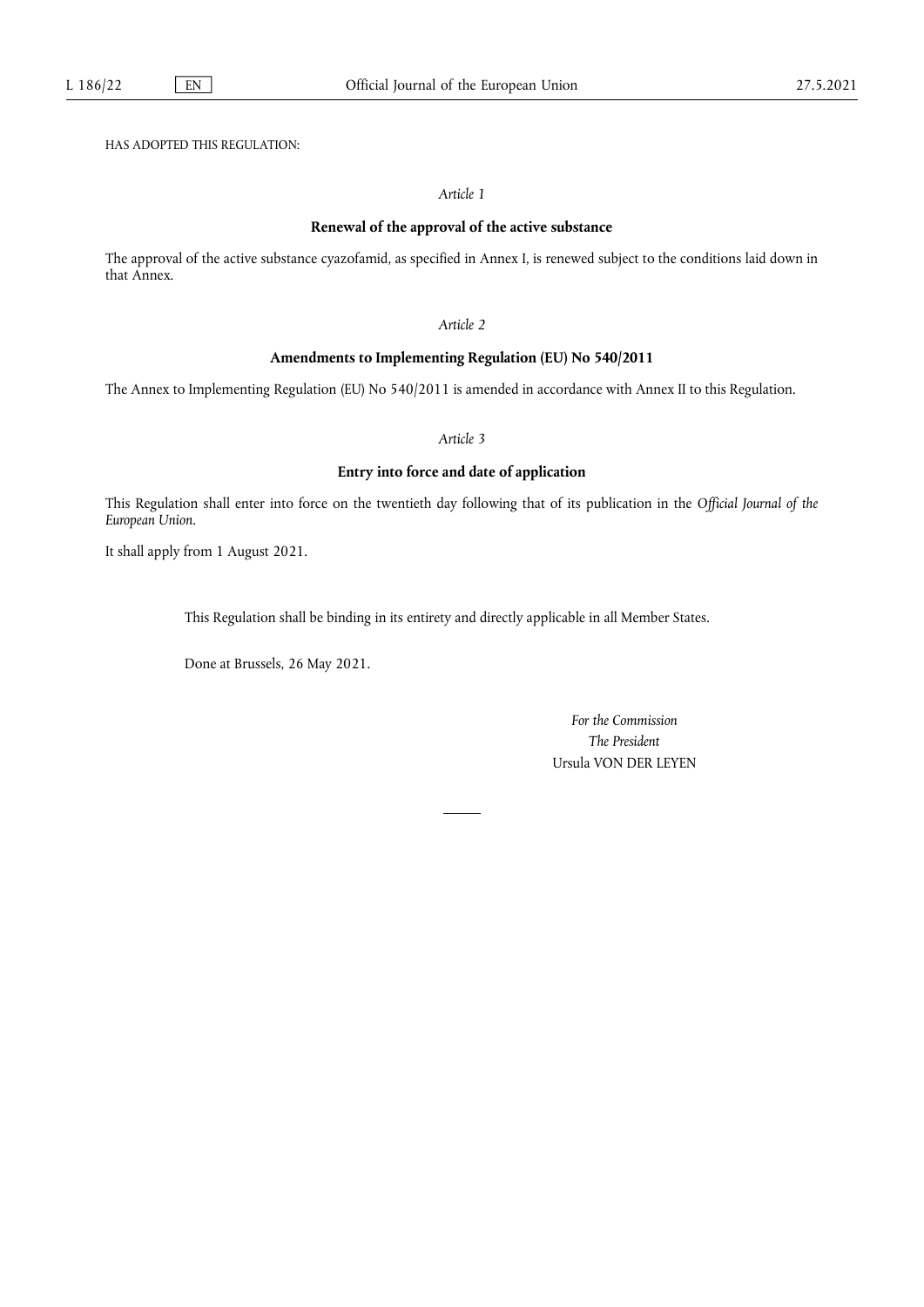HAS ADOPTED THIS REGULATION:

# *Article 1*

#### **Renewal of the approval of the active substance**

The approval of the active substance cyazofamid, as specified in Annex I, is renewed subject to the conditions laid down in that Annex.

# *Article 2*

# **Amendments to Implementing Regulation (EU) No 540/2011**

The Annex to Implementing Regulation (EU) No 540/2011 is amended in accordance with Annex II to this Regulation.

# *Article 3*

# **Entry into force and date of application**

This Regulation shall enter into force on the twentieth day following that of its publication in the *Official Journal of the European Union*.

It shall apply from 1 August 2021.

This Regulation shall be binding in its entirety and directly applicable in all Member States.

Done at Brussels, 26 May 2021.

*For the Commission The President* Ursula VON DER LEYEN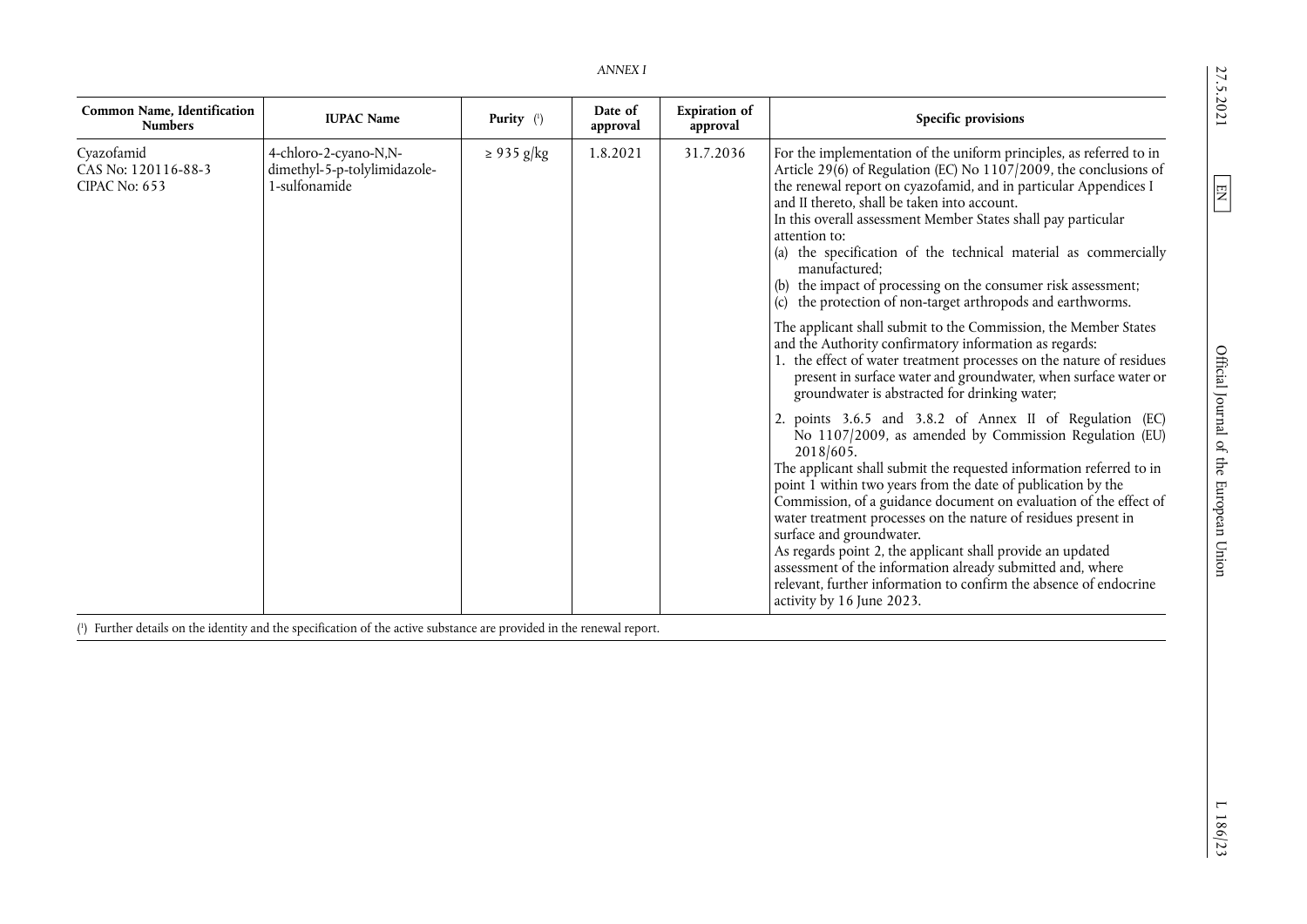27.5.2021

<span id="page-3-0"></span> $\boxed{EN}$ 

<span id="page-3-1"></span>*ANNEX I* 

| Common Name, Identification<br><b>Numbers</b>        | <b>IUPAC Name</b>                                                      | <b>Purity</b> $(1)$ | Date of<br>approval | <b>Expiration of</b><br>approval | Specific provisions                                                                                                                                                                                                                                                                                                                                                                                                                                                                                                                                                                                                                                                                                                                                                                                                                                                                         |
|------------------------------------------------------|------------------------------------------------------------------------|---------------------|---------------------|----------------------------------|---------------------------------------------------------------------------------------------------------------------------------------------------------------------------------------------------------------------------------------------------------------------------------------------------------------------------------------------------------------------------------------------------------------------------------------------------------------------------------------------------------------------------------------------------------------------------------------------------------------------------------------------------------------------------------------------------------------------------------------------------------------------------------------------------------------------------------------------------------------------------------------------|
| Cyazofamid<br>CAS No: 120116-88-3<br>CIPAC No: $653$ | 4-chloro-2-cyano-N,N-<br>dimethyl-5-p-tolylimidazole-<br>1-sulfonamide | $\geq$ 935 g/kg     | 1.8.2021            | 31.7.2036                        | For the implementation of the uniform principles, as referred to in<br>Article 29(6) of Regulation (EC) No 1107/2009, the conclusions of<br>the renewal report on cyazofamid, and in particular Appendices I<br>and II thereto, shall be taken into account.<br>In this overall assessment Member States shall pay particular<br>attention to:<br>(a) the specification of the technical material as commercially<br>manufactured;<br>(b) the impact of processing on the consumer risk assessment;<br>(c) the protection of non-target arthropods and earthworms.<br>The applicant shall submit to the Commission, the Member States<br>and the Authority confirmatory information as regards:<br>1. the effect of water treatment processes on the nature of residues<br>present in surface water and groundwater, when surface water or<br>groundwater is abstracted for drinking water; |
|                                                      |                                                                        |                     |                     |                                  | 2. points 3.6.5 and 3.8.2 of Annex II of Regulation (EC)<br>No 1107/2009, as amended by Commission Regulation (EU)<br>2018/605.<br>The applicant shall submit the requested information referred to in<br>point 1 within two years from the date of publication by the<br>Commission, of a guidance document on evaluation of the effect of<br>water treatment processes on the nature of residues present in<br>surface and groundwater.<br>As regards point 2, the applicant shall provide an updated<br>assessment of the information already submitted and, where<br>relevant, further information to confirm the absence of endocrine<br>activity by 16 June 2023.                                                                                                                                                                                                                     |

[\(1\)](#page-3-1) Further details on the identity and the specification of the active substance are provided in the renewal report.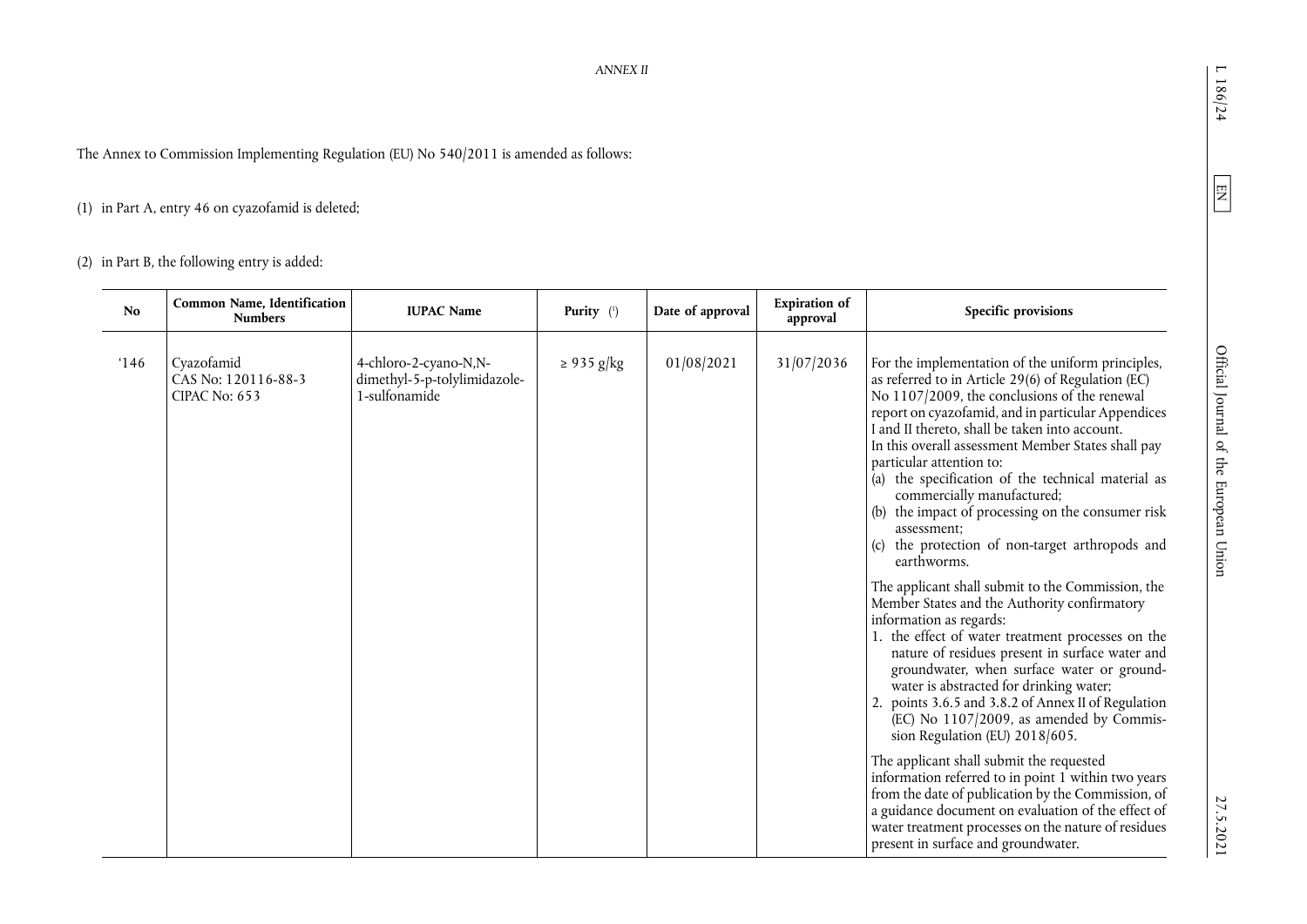The Annex to Commission Implementing Regulation (EU) No 540/2011 is amended as follows:

(1) in Part A, entry 46 on cyazofamid is deleted;

(2) in Part B, the following entry is added:

<span id="page-4-0"></span>

| No   | Common Name, Identification<br><b>Numbers</b>      | <b>IUPAC Name</b>                                                      | <b>Purity</b> $(1)$ | Date of approval | <b>Expiration</b> of<br>approval | Specific provisions                                                                                                                                                                                                                                                                                                                                                                                                                                                                                                                                                                                                                                                                                                                                                                                                                                                                                                                                                                                                                                                                                                                                                                                                                                                                                                                                            |
|------|----------------------------------------------------|------------------------------------------------------------------------|---------------------|------------------|----------------------------------|----------------------------------------------------------------------------------------------------------------------------------------------------------------------------------------------------------------------------------------------------------------------------------------------------------------------------------------------------------------------------------------------------------------------------------------------------------------------------------------------------------------------------------------------------------------------------------------------------------------------------------------------------------------------------------------------------------------------------------------------------------------------------------------------------------------------------------------------------------------------------------------------------------------------------------------------------------------------------------------------------------------------------------------------------------------------------------------------------------------------------------------------------------------------------------------------------------------------------------------------------------------------------------------------------------------------------------------------------------------|
| '146 | Cyazofamid<br>CAS No: 120116-88-3<br>CIPAC No: 653 | 4-chloro-2-cyano-N,N-<br>dimethyl-5-p-tolylimidazole-<br>1-sulfonamide | $\geq$ 935 g/kg     | 01/08/2021       | 31/07/2036                       | For the implementation of the uniform principles,<br>as referred to in Article 29(6) of Regulation (EC)<br>No 1107/2009, the conclusions of the renewal<br>report on cyazofamid, and in particular Appendices<br>I and II thereto, shall be taken into account.<br>In this overall assessment Member States shall pay<br>particular attention to:<br>(a) the specification of the technical material as<br>commercially manufactured;<br>(b) the impact of processing on the consumer risk<br>assessment;<br>(c) the protection of non-target arthropods and<br>earthworms.<br>The applicant shall submit to the Commission, the<br>Member States and the Authority confirmatory<br>information as regards:<br>1. the effect of water treatment processes on the<br>nature of residues present in surface water and<br>groundwater, when surface water or ground-<br>water is abstracted for drinking water;<br>2. points 3.6.5 and 3.8.2 of Annex II of Regulation<br>(EC) No 1107/2009, as amended by Commis-<br>sion Regulation (EU) 2018/605.<br>The applicant shall submit the requested<br>information referred to in point 1 within two years<br>from the date of publication by the Commission, of<br>a guidance document on evaluation of the effect of<br>water treatment processes on the nature of residues<br>present in surface and groundwater. |